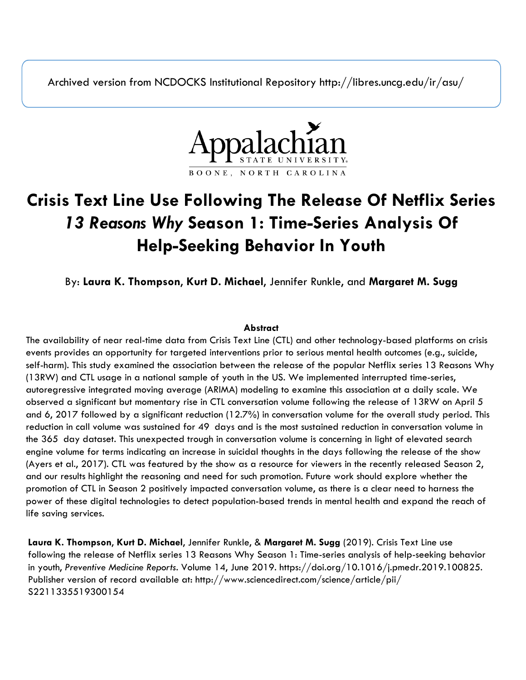Archived version from NCDOCKS Institutional Repository http://libres.uncg.edu/ir/asu/



# **Crisis Text Line Use Following The Release Of Netflix Series**  *13 Reasons Why* **Season 1: Time-Series Analysis Of Help-Seeking Behavior In Youth**

By: **Laura K. Thompson**, **Kurt D. Michael**, Jennifer Runkle, and **Margaret M. Sugg**

### **Abstract**

The availability of near real-time data from Crisis Text Line (CTL) and other technology-based platforms on crisis events provides an opportunity for targeted interventions prior to serious mental health outcomes (e.g., suicide, self-harm). This study examined the association between the release of the popular Netflix series 13 Reasons Why (13RW) and CTL usage in a national sample of youth in the US. We implemented interrupted time-series, autoregressive integrated moving average (ARIMA) modeling to examine this association at a daily scale. We observed a significant but momentary rise in CTL conversation volume following the release of 13RW on April 5 and 6, 2017 followed by a significant reduction (12.7%) in conversation volume for the overall study period. This reduction in call volume was sustained for 49 days and is the most sustained reduction in conversation volume in the 365 day dataset. This unexpected trough in conversation volume is concerning in light of elevated search engine volume for terms indicating an increase in suicidal thoughts in the days following the release of the show (Ayers et al., 2017). CTL was featured by the show as a resource for viewers in the recently released Season 2, and our results highlight the reasoning and need for such promotion. Future work should explore whether the promotion of CTL in Season 2 positively impacted conversation volume, as there is a clear need to harness the power of these digital technologies to detect population-based trends in mental health and expand the reach of life saving services.

**Laura K. Thompson**, **Kurt D. Michael**, Jennifer Runkle, & **Margaret M. Sugg** (2019). Crisis Text Line use following the release of Netflix series 13 Reasons Why Season 1: Time-series analysis of help-seeking behavior in youth, *Preventive Medicine Reports*. Volume 14, June 2019. https://doi.org/10.1016/j.pmedr.2019.100825. Publisher version of record available at: http://www.sciencedirect.com/science/article/pii/ S2211335519300154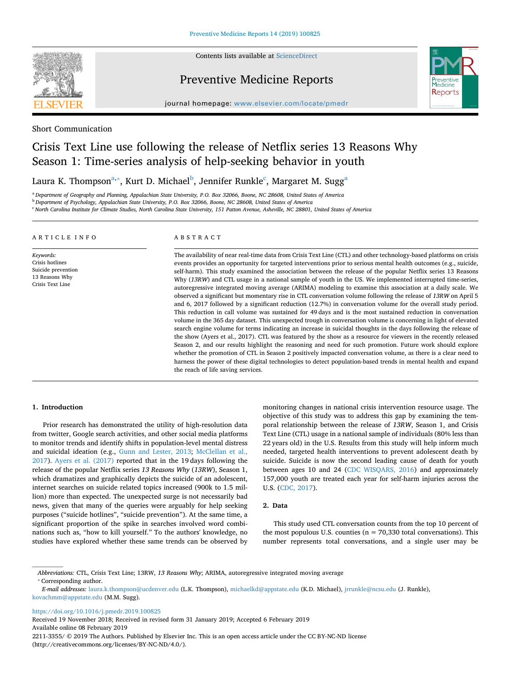

Contents lists available at [ScienceDirect](http://www.sciencedirect.com/science/journal/22113355)

## Preventive Medicine Reports



journal homepage: [www.elsevier.com/locate/pmedr](https://www.elsevier.com/locate/pmedr)

Short Communication

# Crisis Text Line use following the release of Netflix series 13 Reasons Why Season 1: Time-series analysis of help-seeking behavior in youth

L[a](#page-1-0)ura K. Thompson $^{\mathrm{a},*}$ , Kurt D. Mi[c](#page-1-3)hael $^{\mathrm{b}}$  $^{\mathrm{b}}$  $^{\mathrm{b}}$ , Jennifer Runkle $^{\mathrm{c}}$ , Margaret M. Sugg $^{\mathrm{a}}$ 

<span id="page-1-0"></span><sup>a</sup> *Department of Geography and Planning, Appalachian State University, P.O. Box 32066, Boone, NC 28608, United States of America*

<span id="page-1-2"></span><sup>b</sup> *Department of Psychology, Appalachian State University, P.O. Box 32066, Boone, NC 28608, United States of America*

<span id="page-1-3"></span><sup>c</sup> *North Carolina Institute for Climate Studies, North Carolina State University, 151 Patton Avenue, Asheville, NC 28801, United States of America*

#### ARTICLE INFO

*Keywords:* Crisis hotlines Suicide prevention 13 Reasons Why Crisis Text Line

#### ABSTRACT

The availability of near real-time data from Crisis Text Line (CTL) and other technology-based platforms on crisis events provides an opportunity for targeted interventions prior to serious mental health outcomes (e.g., suicide, self-harm). This study examined the association between the release of the popular Netflix series 13 Reasons Why (*13RW*) and CTL usage in a national sample of youth in the US. We implemented interrupted time-series, autoregressive integrated moving average (ARIMA) modeling to examine this association at a daily scale. We observed a significant but momentary rise in CTL conversation volume following the release of *13RW* on April 5 and 6, 2017 followed by a significant reduction (12.7%) in conversation volume for the overall study period. This reduction in call volume was sustained for 49 days and is the most sustained reduction in conversation volume in the 365 day dataset. This unexpected trough in conversation volume is concerning in light of elevated search engine volume for terms indicating an increase in suicidal thoughts in the days following the release of the show (Ayers et al., 2017). CTL was featured by the show as a resource for viewers in the recently released Season 2, and our results highlight the reasoning and need for such promotion. Future work should explore whether the promotion of CTL in Season 2 positively impacted conversation volume, as there is a clear need to harness the power of these digital technologies to detect population-based trends in mental health and expand the reach of life saving services.

#### **1. Introduction**

Prior research has demonstrated the utility of high-resolution data from twitter, Google search activities, and other social media platforms to monitor trends and identify shifts in population-level mental distress and suicidal ideation (e.g., [Gunn and Lester, 2013;](#page-4-0) [McClellan et al.,](#page-4-1) [2017\)](#page-4-1). [Ayers et al. \(2017\)](#page-4-2) reported that in the 19 days following the release of the popular Netflix series *13 Reasons Why* (*13RW*), Season 1, which dramatizes and graphically depicts the suicide of an adolescent, internet searches on suicide related topics increased (900k to 1.5 million) more than expected. The unexpected surge is not necessarily bad news, given that many of the queries were arguably for help seeking purposes ("suicide hotlines", "suicide prevention"). At the same time, a significant proportion of the spike in searches involved word combinations such as, "how to kill yourself." To the authors' knowledge, no studies have explored whether these same trends can be observed by

monitoring changes in national crisis intervention resource usage. The objective of this study was to address this gap by examining the temporal relationship between the release of *13RW*, Season 1, and Crisis Text Line (CTL) usage in a national sample of individuals (80% less than 22 years old) in the U.S. Results from this study will help inform much needed, targeted health interventions to prevent adolescent death by suicide. Suicide is now the second leading cause of death for youth between ages 10 and 24 ([CDC WISQARS, 2016\)](#page-4-3) and approximately 157,000 youth are treated each year for self-harm injuries across the U.S. ([CDC, 2017\)](#page-4-4).

#### **2. Data**

This study used CTL conversation counts from the top 10 percent of the most populous U.S. counties ( $n = 70,330$  total conversations). This number represents total conversations, and a single user may be

<https://doi.org/10.1016/j.pmedr.2019.100825>

Received 19 November 2018; Received in revised form 31 January 2019; Accepted 6 February 2019 Available online 08 February 2019 2211-3355/ © 2019 The Authors. Published by Elsevier Inc. This is an open access article under the CC BY-NC-ND license (http://creativecommons.org/licenses/BY-NC-ND/4.0/).

<span id="page-1-1"></span>*Abbreviations:* CTL, Crisis Text Line; 13RW, *13 Reasons Why*; ARIMA, autoregressive integrated moving average ⁎ Corresponding author.

*E-mail addresses:* [laura.k.thompson@ucdenver.edu](mailto:laura.k.thompson@ucdenver.edu) (L.K. Thompson), [michaelkd@appstate.edu](mailto:michaelkd@appstate.edu) (K.D. Michael), [jrrunkle@ncsu.edu](mailto:jrrunkle@ncsu.edu) (J. Runkle), [kovachmm@appstate.edu](mailto:kovachmm@appstate.edu) (M.M. Sugg).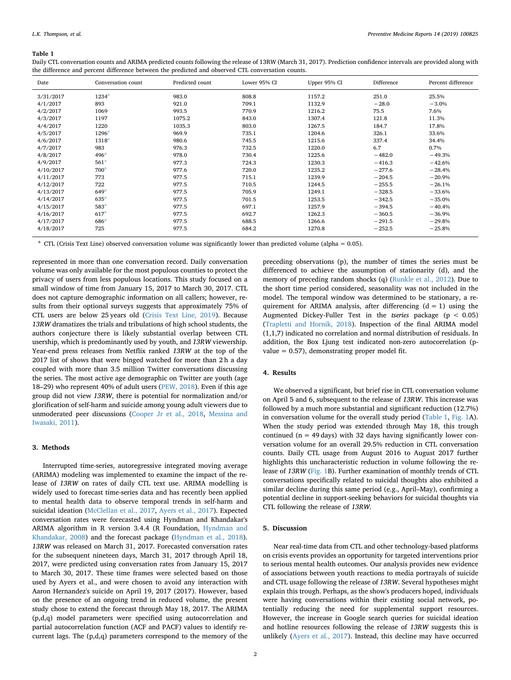#### <span id="page-2-0"></span>**Table 1**

Daily CTL conversation counts and ARIMA predicted counts following the release of 13RW (March 31, 2017). Prediction confidence intervals are provided along with the difference and percent difference between the predicted and observed CTL conversation counts.

| Date      | Conversation count | Predicted count | Lower 95% CI | Upper 95% CI | Difference | Percent difference |
|-----------|--------------------|-----------------|--------------|--------------|------------|--------------------|
| 3/31/2017 | 1234 <sup>a</sup>  | 983.0           | 808.8        | 1157.2       | 251.0      | 25.5%              |
| 4/1/2017  | 893                | 921.0           | 709.1        | 1132.9       | $-28.0$    | $-3.0%$            |
| 4/2/2017  | 1069               | 993.5           | 770.9        | 1216.2       | 75.5       | 7.6%               |
| 4/3/2017  | 1197               | 1075.2          | 843.0        | 1307.4       | 121.8      | 11.3%              |
| 4/4/2017  | 1220               | 1035.3          | 803.0        | 1267.5       | 184.7      | 17.8%              |
| 4/5/2017  | 1296 <sup>a</sup>  | 969.9           | 735.1        | 1204.6       | 326.1      | 33.6%              |
| 4/6/2017  | 1318 <sup>a</sup>  | 980.6           | 745.5        | 1215.6       | 337.4      | 34.4%              |
| 4/7/2017  | 983                | 976.3           | 732.5        | 1220.0       | 6.7        | 0.7%               |
| 4/8/2017  | 496 <sup>a</sup>   | 978.0           | 730.4        | 1225.6       | $-482.0$   | $-49.3%$           |
| 4/9/2017  | 561 <sup>a</sup>   | 977.3           | 724.3        | 1230.3       | $-416.3$   | $-42.6%$           |
| 4/10/2017 | 700 <sup>a</sup>   | 977.6           | 720.0        | 1235.2       | $-277.6$   | $-28.4%$           |
| 4/11/2017 | 773                | 977.5           | 715.1        | 1239.9       | $-204.5$   | $-20.9%$           |
| 4/12/2017 | 722                | 977.5           | 710.5        | 1244.5       | $-255.5$   | $-26.1%$           |
| 4/13/2017 | 649 <sup>a</sup>   | 977.5           | 705.9        | 1249.1       | $-328.5$   | $-33.6%$           |
| 4/14/2017 | $635^{\circ}$      | 977.5           | 701.5        | 1253.5       | $-342.5$   | $-35.0%$           |
| 4/15/2017 | 583 <sup>a</sup>   | 977.5           | 697.1        | 1257.9       | $-394.5$   | $-40.4%$           |
| 4/16/2017 | 617 <sup>a</sup>   | 977.5           | 692.7        | 1262.3       | $-360.5$   | $-36.9%$           |
| 4/17/2017 | 686 <sup>a</sup>   | 977.5           | 688.5        | 1266.6       | $-291.5$   | $-29.8%$           |
| 4/18/2017 | 725                | 977.5           | 684.2        | 1270.8       | $-252.5$   | $-25.8%$           |

<span id="page-2-1"></span><sup>a</sup> CTL (Crisis Text Line) observed conversation volume was significantly lower than predicted volume (alpha = 0.05).

represented in more than one conversation record. Daily conversation volume was only available for the most populous counties to protect the privacy of users from less populous locations. This study focused on a small window of time from January 15, 2017 to March 30, 2017. CTL does not capture demographic information on all callers; however, results from their optional surveys suggests that approximately 75% of CTL users are below 25 years old [\(Crisis Text Line, 2019](#page-4-5)). Because *13RW* dramatizes the trials and tribulations of high school students, the authors conjecture there is likely substantial overlap between CTL usership, which is predominantly used by youth, and *13RW* viewership. Year-end press releases from Netflix ranked *13RW* at the top of the 2017 list of shows that were binged watched for more than 2 h a day coupled with more than 3.5 million Twitter conversations discussing the series. The most active age demographic on Twitter are youth (age 18–29) who represent 40% of adult users [\(PEW, 2018](#page-4-6)). Even if this age group did not view *13RW*, there is potential for normalization and/or glorification of self-harm and suicide among young adult viewers due to unmoderated peer discussions ([Cooper Jr et al., 2018](#page-4-7), [Messina and](#page-4-8) [Iwasaki, 2011](#page-4-8)).

#### **3. Methods**

Interrupted time-series, autoregressive integrated moving average (ARIMA) modeling was implemented to examine the impact of the release of *13RW* on rates of daily CTL text use. ARIMA modelling is widely used to forecast time-series data and has recently been applied to mental health data to observe temporal trends in self-harm and suicidal ideation ([McClellan et al., 2017,](#page-4-1) [Ayers et al., 2017\)](#page-4-2). Expected conversation rates were forecasted using Hyndman and Khandakar's ARIMA algorithm in R version 3.4.4 (R Foundation, [Hyndman and](#page-4-9) [Khandakar, 2008](#page-4-9)) and the forecast package [\(Hyndman et al., 2018](#page-4-10)). *13RW* was released on March 31, 2017. Forecasted conversation rates for the subsequent nineteen days, March 31, 2017 through April 18, 2017, were predicted using conversation rates from January 15, 2017 to March 30, 2017. These time frames were selected based on those used by Ayers et al., and were chosen to avoid any interaction with Aaron Hernandez's suicide on April 19, 2017 (2017). However, based on the presence of an ongoing trend in reduced volume, the present study chose to extend the forecast through May 18, 2017. The ARIMA (p,d,q) model parameters were specified using autocorrelation and partial autocorrelation function (ACF and PACF) values to identify recurrent lags. The (p,d,q) parameters correspond to the memory of the

preceding observations (p), the number of times the series must be differenced to achieve the assumption of stationarity (d), and the memory of preceding random shocks (q) ([Runkle et al., 2012\)](#page-4-11). Due to the short time period considered, seasonality was not included in the model. The temporal window was determined to be stationary, a requirement for ARIMA analysis, after differencing  $(d = 1)$  using the Augmented Dickey-Fuller Test in the *tseries* package (p < 0.05) ([Trapletti and Hornik, 2018](#page-4-12)). Inspection of the final ARIMA model (1,1,7) indicated no correlation and normal distribution of residuals. In addition, the Box Ljung test indicated non-zero autocorrelation (pvalue = 0.57), demonstrating proper model fit.

#### **4. Results**

We observed a significant, but brief rise in CTL conversation volume on April 5 and 6, subsequent to the release of *13RW*. This increase was followed by a much more substantial and significant reduction (12.7%) in conversation volume for the overall study period ([Table 1](#page-2-0), [Fig. 1](#page-3-0)A). When the study period was extended through May 18, this trough continued ( $n = 49$  days) with 32 days having significantly lower conversation volume for an overall 29.5% reduction in CTL conversation counts. Daily CTL usage from August 2016 to August 2017 further highlights this uncharacteristic reduction in volume following the release of *13RW* [\(Fig. 1](#page-3-0)B). Further examination of monthly trends of CTL conversations specifically related to suicidal thoughts also exhibited a similar decline during this same period (e.g., April–May), confirming a potential decline in support-seeking behaviors for suicidal thoughts via CTL following the release of *13RW.*

#### **5. Discussion**

Near real-time data from CTL and other technology-based platforms on crisis events provides an opportunity for targeted interventions prior to serious mental health outcomes. Our analysis provides new evidence of associations between youth reactions to media portrayals of suicide and CTL usage following the release of *13RW*. Several hypotheses might explain this trough. Perhaps, as the show's producers hoped, individuals were having conversations within their existing social network, potentially reducing the need for supplemental support resources. However, the increase in Google search queries for suicidal ideation and hotline resources following the release of *13RW* suggests this is unlikely [\(Ayers et al., 2017\)](#page-4-2). Instead, this decline may have occurred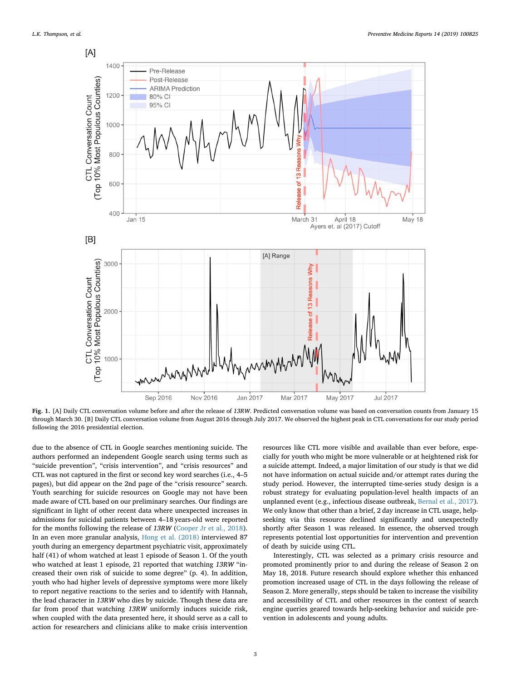<span id="page-3-0"></span>

**Fig. 1.** [A] Daily CTL conversation volume before and after the release of *13RW*. Predicted conversation volume was based on conversation counts from January 15 through March 30. [B] Daily CTL conversation volume from August 2016 through July 2017. We observed the highest peak in CTL conversations for our study period following the 2016 presidential election.

due to the absence of CTL in Google searches mentioning suicide. The authors performed an independent Google search using terms such as "suicide prevention", "crisis intervention", and "crisis resources" and CTL was not captured in the first or second key word searches (i.e., 4–5 pages), but did appear on the 2nd page of the "crisis resource" search. Youth searching for suicide resources on Google may not have been made aware of CTL based on our preliminary searches. Our findings are significant in light of other recent data where unexpected increases in admissions for suicidal patients between 4–18 years-old were reported for the months following the release of *13RW* ([Cooper Jr et al., 2018](#page-4-7)). In an even more granular analysis, [Hong et al. \(2018\)](#page-4-13) interviewed 87 youth during an emergency department psychiatric visit, approximately half (41) of whom watched at least 1 episode of Season 1. Of the youth who watched at least 1 episode, 21 reported that watching *13RW* "increased their own risk of suicide to some degree" (p. 4). In addition, youth who had higher levels of depressive symptoms were more likely to report negative reactions to the series and to identify with Hannah, the lead character in *13RW* who dies by suicide. Though these data are far from proof that watching *13RW* uniformly induces suicide risk, when coupled with the data presented here, it should serve as a call to action for researchers and clinicians alike to make crisis intervention

resources like CTL more visible and available than ever before, especially for youth who might be more vulnerable or at heightened risk for a suicide attempt. Indeed, a major limitation of our study is that we did not have information on actual suicide and/or attempt rates during the study period. However, the interrupted time-series study design is a robust strategy for evaluating population-level health impacts of an unplanned event (e.g., infectious disease outbreak, [Bernal et al., 2017](#page-4-14)). We only know that other than a brief, 2 day increase in CTL usage, helpseeking via this resource declined significantly and unexpectedly shortly after Season 1 was released. In essence, the observed trough represents potential lost opportunities for intervention and prevention of death by suicide using CTL.

Interestingly, CTL was selected as a primary crisis resource and promoted prominently prior to and during the release of Season 2 on May 18, 2018. Future research should explore whether this enhanced promotion increased usage of CTL in the days following the release of Season 2. More generally, steps should be taken to increase the visibility and accessibility of CTL and other resources in the context of search engine queries geared towards help-seeking behavior and suicide prevention in adolescents and young adults.